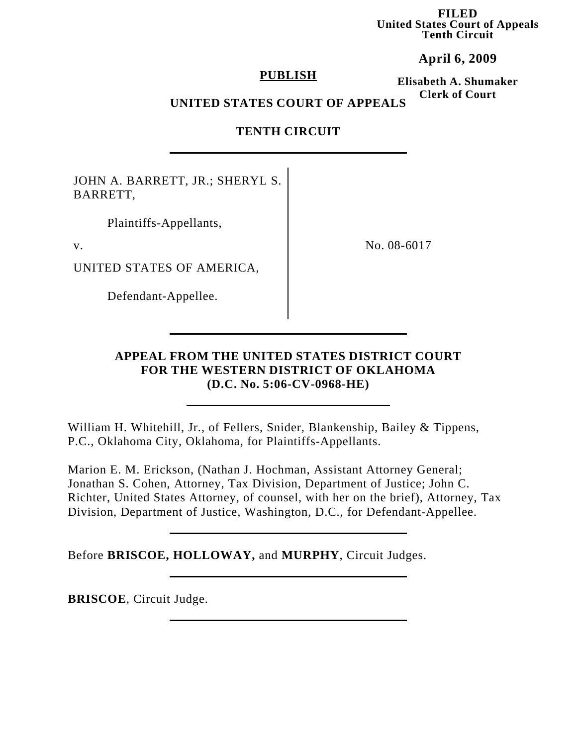**FILED United States Court of Appeals Tenth Circuit**

**April 6, 2009**

### **PUBLISH**

**Elisabeth A. Shumaker Clerk of Court**

# **UNITED STATES COURT OF APPEALS**

# **TENTH CIRCUIT**

JOHN A. BARRETT, JR.; SHERYL S. BARRETT,

Plaintiffs-Appellants,

UNITED STATES OF AMERICA,

Defendant-Appellee.

v. No. 08-6017

# **APPEAL FROM THE UNITED STATES DISTRICT COURT FOR THE WESTERN DISTRICT OF OKLAHOMA (D.C. No. 5:06-CV-0968-HE)**

William H. Whitehill, Jr., of Fellers, Snider, Blankenship, Bailey & Tippens, P.C., Oklahoma City, Oklahoma, for Plaintiffs-Appellants.

Marion E. M. Erickson, (Nathan J. Hochman, Assistant Attorney General; Jonathan S. Cohen, Attorney, Tax Division, Department of Justice; John C. Richter, United States Attorney, of counsel, with her on the brief), Attorney, Tax Division, Department of Justice, Washington, D.C., for Defendant-Appellee.

Before **BRISCOE, HOLLOWAY,** and **MURPHY**, Circuit Judges.

**BRISCOE**, Circuit Judge.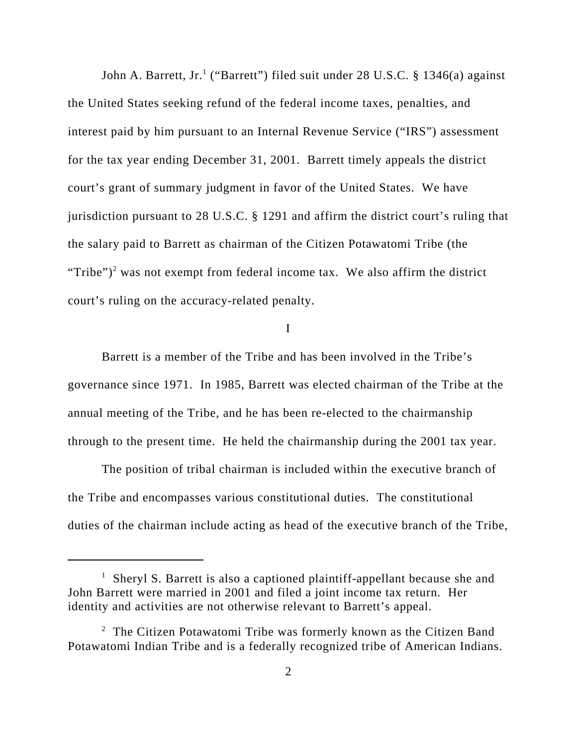John A. Barrett, Jr.<sup>1</sup> ("Barrett") filed suit under 28 U.S.C. § 1346(a) against the United States seeking refund of the federal income taxes, penalties, and interest paid by him pursuant to an Internal Revenue Service ("IRS") assessment for the tax year ending December 31, 2001. Barrett timely appeals the district court's grant of summary judgment in favor of the United States. We have jurisdiction pursuant to 28 U.S.C. § 1291 and affirm the district court's ruling that the salary paid to Barrett as chairman of the Citizen Potawatomi Tribe (the "Tribe" $)^2$  was not exempt from federal income tax. We also affirm the district court's ruling on the accuracy-related penalty.

### I

Barrett is a member of the Tribe and has been involved in the Tribe's governance since 1971. In 1985, Barrett was elected chairman of the Tribe at the annual meeting of the Tribe, and he has been re-elected to the chairmanship through to the present time. He held the chairmanship during the 2001 tax year.

The position of tribal chairman is included within the executive branch of the Tribe and encompasses various constitutional duties. The constitutional duties of the chairman include acting as head of the executive branch of the Tribe,

<sup>&</sup>lt;sup>1</sup> Sheryl S. Barrett is also a captioned plaintiff-appellant because she and John Barrett were married in 2001 and filed a joint income tax return. Her identity and activities are not otherwise relevant to Barrett's appeal.

 $2$  The Citizen Potawatomi Tribe was formerly known as the Citizen Band Potawatomi Indian Tribe and is a federally recognized tribe of American Indians.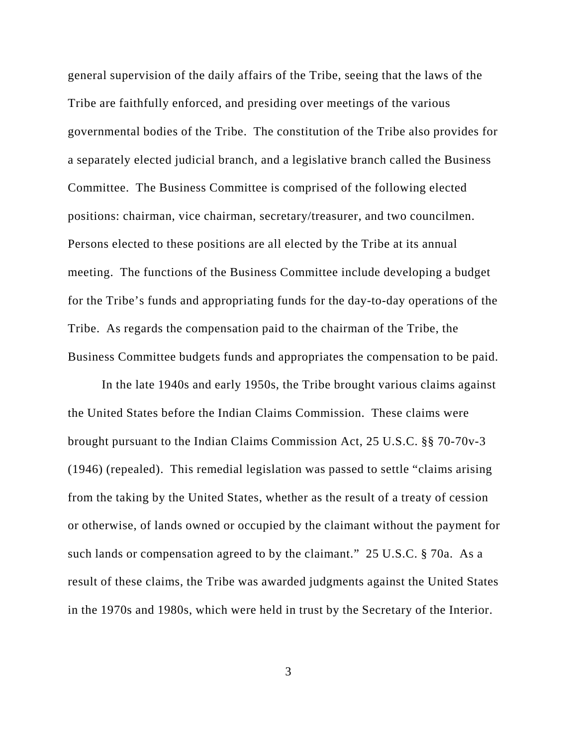general supervision of the daily affairs of the Tribe, seeing that the laws of the Tribe are faithfully enforced, and presiding over meetings of the various governmental bodies of the Tribe. The constitution of the Tribe also provides for a separately elected judicial branch, and a legislative branch called the Business Committee. The Business Committee is comprised of the following elected positions: chairman, vice chairman, secretary/treasurer, and two councilmen. Persons elected to these positions are all elected by the Tribe at its annual meeting. The functions of the Business Committee include developing a budget for the Tribe's funds and appropriating funds for the day-to-day operations of the Tribe. As regards the compensation paid to the chairman of the Tribe, the Business Committee budgets funds and appropriates the compensation to be paid.

In the late 1940s and early 1950s, the Tribe brought various claims against the United States before the Indian Claims Commission. These claims were brought pursuant to the Indian Claims Commission Act, 25 U.S.C. §§ 70-70v-3 (1946) (repealed). This remedial legislation was passed to settle "claims arising from the taking by the United States, whether as the result of a treaty of cession or otherwise, of lands owned or occupied by the claimant without the payment for such lands or compensation agreed to by the claimant." 25 U.S.C. § 70a. As a result of these claims, the Tribe was awarded judgments against the United States in the 1970s and 1980s, which were held in trust by the Secretary of the Interior.

3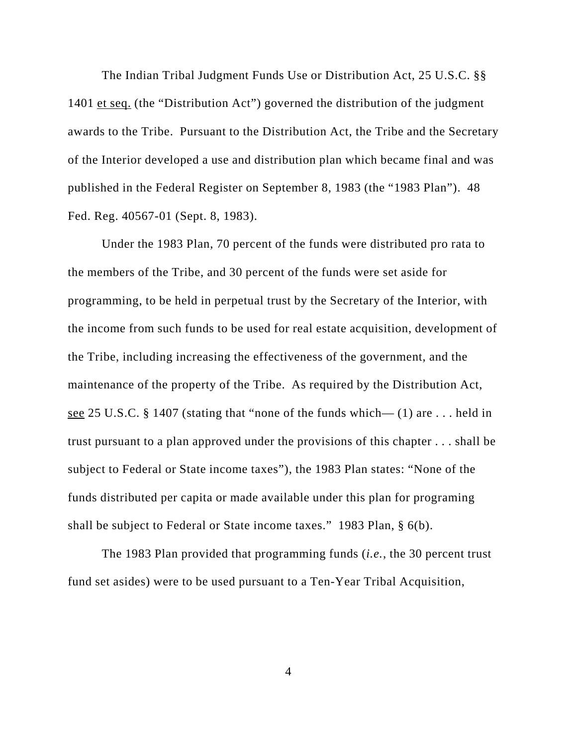The Indian Tribal Judgment Funds Use or Distribution Act, 25 U.S.C. §§ 1401 et seq. (the "Distribution Act") governed the distribution of the judgment awards to the Tribe. Pursuant to the Distribution Act, the Tribe and the Secretary of the Interior developed a use and distribution plan which became final and was published in the Federal Register on September 8, 1983 (the "1983 Plan"). 48 Fed. Reg. 40567-01 (Sept. 8, 1983).

Under the 1983 Plan, 70 percent of the funds were distributed pro rata to the members of the Tribe, and 30 percent of the funds were set aside for programming, to be held in perpetual trust by the Secretary of the Interior, with the income from such funds to be used for real estate acquisition, development of the Tribe, including increasing the effectiveness of the government, and the maintenance of the property of the Tribe. As required by the Distribution Act, see 25 U.S.C. § 1407 (stating that "none of the funds which—  $(1)$  are ... held in trust pursuant to a plan approved under the provisions of this chapter . . . shall be subject to Federal or State income taxes"), the 1983 Plan states: "None of the funds distributed per capita or made available under this plan for programing shall be subject to Federal or State income taxes." 1983 Plan, § 6(b).

The 1983 Plan provided that programming funds (*i.e.*, the 30 percent trust fund set asides) were to be used pursuant to a Ten-Year Tribal Acquisition,

4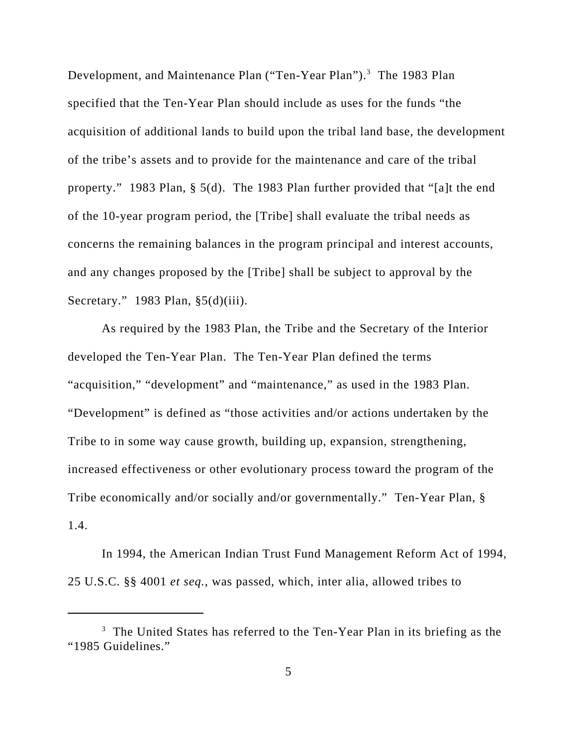Development, and Maintenance Plan ("Ten-Year Plan").<sup>3</sup> The 1983 Plan specified that the Ten-Year Plan should include as uses for the funds "the acquisition of additional lands to build upon the tribal land base, the development of the tribe's assets and to provide for the maintenance and care of the tribal property." 1983 Plan, § 5(d). The 1983 Plan further provided that "[a]t the end of the 10-year program period, the [Tribe] shall evaluate the tribal needs as concerns the remaining balances in the program principal and interest accounts, and any changes proposed by the [Tribe] shall be subject to approval by the Secretary." 1983 Plan, §5(d)(iii).

As required by the 1983 Plan, the Tribe and the Secretary of the Interior developed the Ten-Year Plan. The Ten-Year Plan defined the terms "acquisition," "development" and "maintenance," as used in the 1983 Plan. "Development" is defined as "those activities and/or actions undertaken by the Tribe to in some way cause growth, building up, expansion, strengthening, increased effectiveness or other evolutionary process toward the program of the Tribe economically and/or socially and/or governmentally." Ten-Year Plan, § 1.4.

In 1994, the American Indian Trust Fund Management Reform Act of 1994, 25 U.S.C. §§ 4001 *et seq.*, was passed, which, inter alia, allowed tribes to

<sup>&</sup>lt;sup>3</sup> The United States has referred to the Ten-Year Plan in its briefing as the "1985 Guidelines."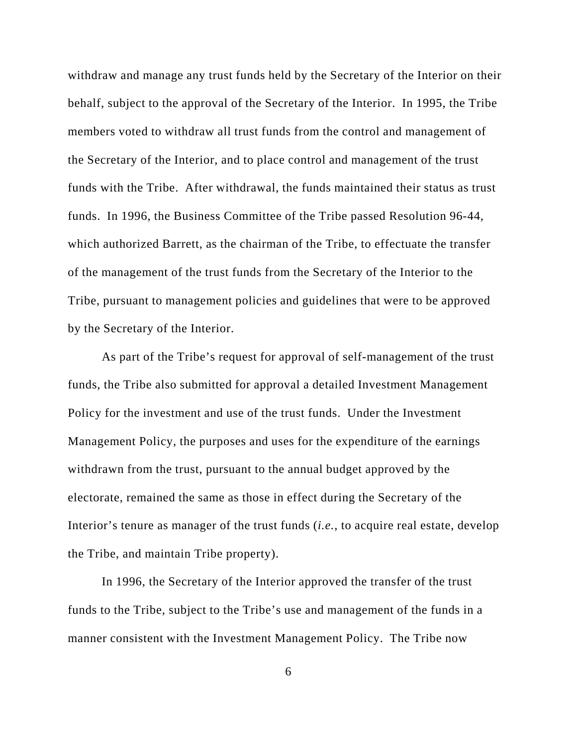withdraw and manage any trust funds held by the Secretary of the Interior on their behalf, subject to the approval of the Secretary of the Interior. In 1995, the Tribe members voted to withdraw all trust funds from the control and management of the Secretary of the Interior, and to place control and management of the trust funds with the Tribe. After withdrawal, the funds maintained their status as trust funds. In 1996, the Business Committee of the Tribe passed Resolution 96-44, which authorized Barrett, as the chairman of the Tribe, to effectuate the transfer of the management of the trust funds from the Secretary of the Interior to the Tribe, pursuant to management policies and guidelines that were to be approved by the Secretary of the Interior.

As part of the Tribe's request for approval of self-management of the trust funds, the Tribe also submitted for approval a detailed Investment Management Policy for the investment and use of the trust funds. Under the Investment Management Policy, the purposes and uses for the expenditure of the earnings withdrawn from the trust, pursuant to the annual budget approved by the electorate, remained the same as those in effect during the Secretary of the Interior's tenure as manager of the trust funds (*i.e.*, to acquire real estate, develop the Tribe, and maintain Tribe property).

In 1996, the Secretary of the Interior approved the transfer of the trust funds to the Tribe, subject to the Tribe's use and management of the funds in a manner consistent with the Investment Management Policy. The Tribe now

6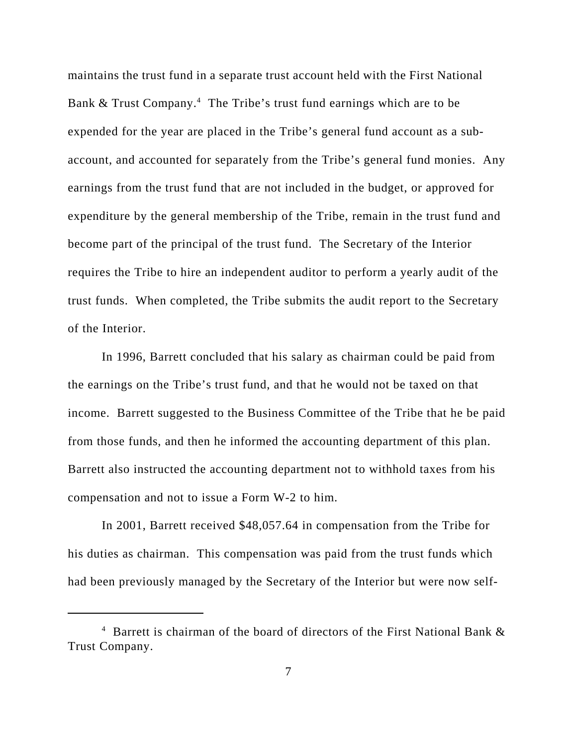maintains the trust fund in a separate trust account held with the First National Bank & Trust Company.<sup>4</sup> The Tribe's trust fund earnings which are to be expended for the year are placed in the Tribe's general fund account as a subaccount, and accounted for separately from the Tribe's general fund monies. Any earnings from the trust fund that are not included in the budget, or approved for expenditure by the general membership of the Tribe, remain in the trust fund and become part of the principal of the trust fund. The Secretary of the Interior requires the Tribe to hire an independent auditor to perform a yearly audit of the trust funds. When completed, the Tribe submits the audit report to the Secretary of the Interior.

In 1996, Barrett concluded that his salary as chairman could be paid from the earnings on the Tribe's trust fund, and that he would not be taxed on that income. Barrett suggested to the Business Committee of the Tribe that he be paid from those funds, and then he informed the accounting department of this plan. Barrett also instructed the accounting department not to withhold taxes from his compensation and not to issue a Form W-2 to him.

In 2001, Barrett received \$48,057.64 in compensation from the Tribe for his duties as chairman. This compensation was paid from the trust funds which had been previously managed by the Secretary of the Interior but were now self-

<sup>&</sup>lt;sup>4</sup> Barrett is chairman of the board of directors of the First National Bank & Trust Company.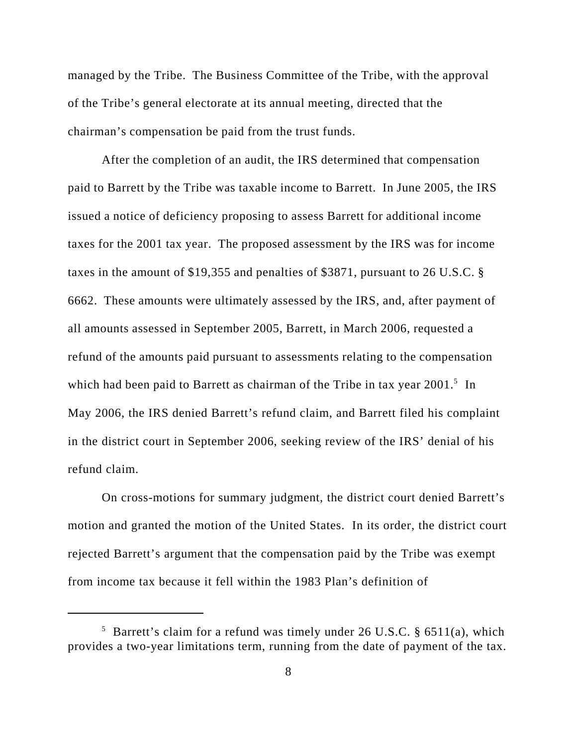managed by the Tribe. The Business Committee of the Tribe, with the approval of the Tribe's general electorate at its annual meeting, directed that the chairman's compensation be paid from the trust funds.

After the completion of an audit, the IRS determined that compensation paid to Barrett by the Tribe was taxable income to Barrett. In June 2005, the IRS issued a notice of deficiency proposing to assess Barrett for additional income taxes for the 2001 tax year. The proposed assessment by the IRS was for income taxes in the amount of \$19,355 and penalties of \$3871, pursuant to 26 U.S.C. § 6662. These amounts were ultimately assessed by the IRS, and, after payment of all amounts assessed in September 2005, Barrett, in March 2006, requested a refund of the amounts paid pursuant to assessments relating to the compensation which had been paid to Barrett as chairman of the Tribe in tax year  $2001$ .<sup>5</sup> In May 2006, the IRS denied Barrett's refund claim, and Barrett filed his complaint in the district court in September 2006, seeking review of the IRS' denial of his refund claim.

On cross-motions for summary judgment, the district court denied Barrett's motion and granted the motion of the United States. In its order, the district court rejected Barrett's argument that the compensation paid by the Tribe was exempt from income tax because it fell within the 1983 Plan's definition of

 $5$  Barrett's claim for a refund was timely under 26 U.S.C. § 6511(a), which provides a two-year limitations term, running from the date of payment of the tax.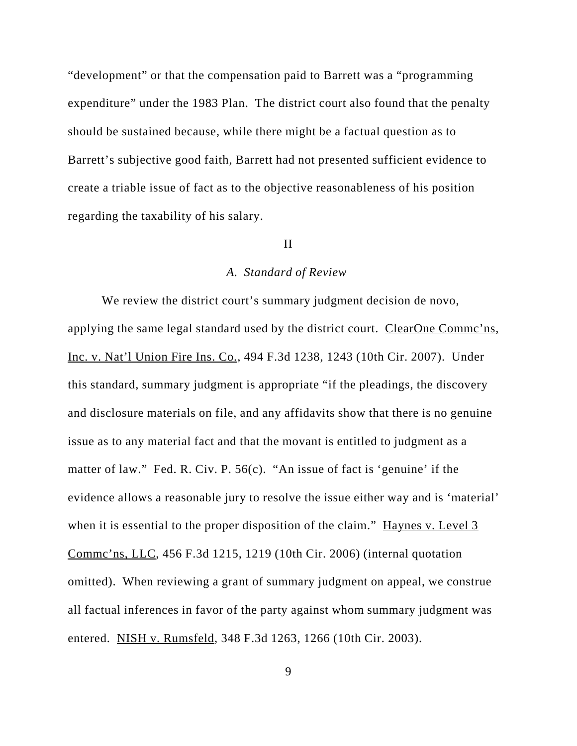"development" or that the compensation paid to Barrett was a "programming expenditure" under the 1983 Plan. The district court also found that the penalty should be sustained because, while there might be a factual question as to Barrett's subjective good faith, Barrett had not presented sufficient evidence to create a triable issue of fact as to the objective reasonableness of his position regarding the taxability of his salary.

## II

#### *A. Standard of Review*

We review the district court's summary judgment decision de novo, applying the same legal standard used by the district court. ClearOne Commc'ns, Inc. v. Nat'l Union Fire Ins. Co., 494 F.3d 1238, 1243 (10th Cir. 2007). Under this standard, summary judgment is appropriate "if the pleadings, the discovery and disclosure materials on file, and any affidavits show that there is no genuine issue as to any material fact and that the movant is entitled to judgment as a matter of law." Fed. R. Civ. P. 56(c). "An issue of fact is 'genuine' if the evidence allows a reasonable jury to resolve the issue either way and is 'material' when it is essential to the proper disposition of the claim." Haynes v. Level 3 Commc'ns, LLC, 456 F.3d 1215, 1219 (10th Cir. 2006) (internal quotation omitted). When reviewing a grant of summary judgment on appeal, we construe all factual inferences in favor of the party against whom summary judgment was entered. NISH v. Rumsfeld, 348 F.3d 1263, 1266 (10th Cir. 2003).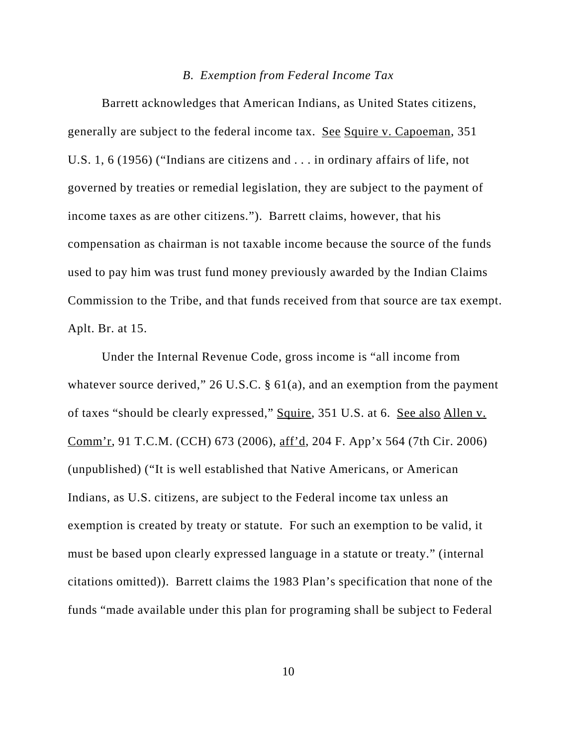#### *B. Exemption from Federal Income Tax*

Barrett acknowledges that American Indians, as United States citizens, generally are subject to the federal income tax. See Squire v. Capoeman, 351 U.S. 1, 6 (1956) ("Indians are citizens and . . . in ordinary affairs of life, not governed by treaties or remedial legislation, they are subject to the payment of income taxes as are other citizens."). Barrett claims, however, that his compensation as chairman is not taxable income because the source of the funds used to pay him was trust fund money previously awarded by the Indian Claims Commission to the Tribe, and that funds received from that source are tax exempt. Aplt. Br. at 15.

Under the Internal Revenue Code, gross income is "all income from whatever source derived," 26 U.S.C. § 61(a), and an exemption from the payment of taxes "should be clearly expressed," Squire, 351 U.S. at 6. See also Allen v. Comm'r, 91 T.C.M. (CCH) 673 (2006), aff'd, 204 F. App'x 564 (7th Cir. 2006) (unpublished) ("It is well established that Native Americans, or American Indians, as U.S. citizens, are subject to the Federal income tax unless an exemption is created by treaty or statute. For such an exemption to be valid, it must be based upon clearly expressed language in a statute or treaty." (internal citations omitted)). Barrett claims the 1983 Plan's specification that none of the funds "made available under this plan for programing shall be subject to Federal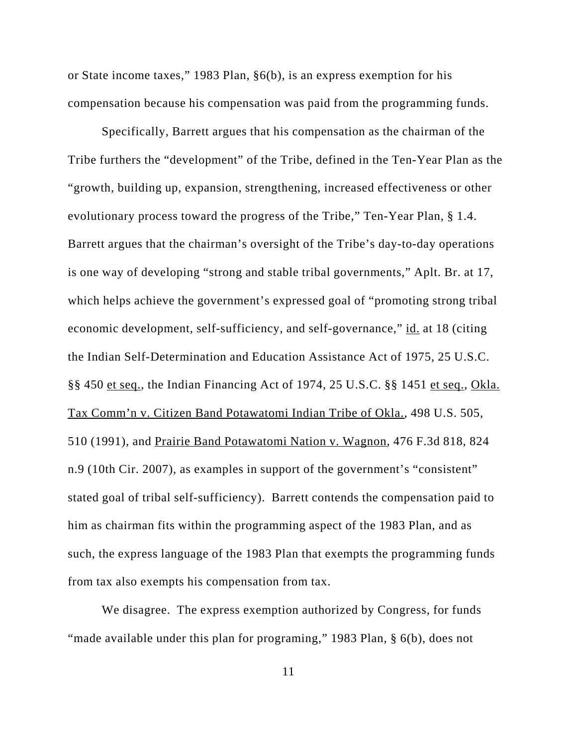or State income taxes," 1983 Plan, §6(b), is an express exemption for his compensation because his compensation was paid from the programming funds.

Specifically, Barrett argues that his compensation as the chairman of the Tribe furthers the "development" of the Tribe, defined in the Ten-Year Plan as the "growth, building up, expansion, strengthening, increased effectiveness or other evolutionary process toward the progress of the Tribe," Ten-Year Plan, § 1.4. Barrett argues that the chairman's oversight of the Tribe's day-to-day operations is one way of developing "strong and stable tribal governments," Aplt. Br. at 17, which helps achieve the government's expressed goal of "promoting strong tribal economic development, self-sufficiency, and self-governance," id. at 18 (citing the Indian Self-Determination and Education Assistance Act of 1975, 25 U.S.C. §§ 450 et seq., the Indian Financing Act of 1974, 25 U.S.C. §§ 1451 et seq., Okla. Tax Comm'n v. Citizen Band Potawatomi Indian Tribe of Okla., 498 U.S. 505, 510 (1991), and Prairie Band Potawatomi Nation v. Wagnon, 476 F.3d 818, 824 n.9 (10th Cir. 2007), as examples in support of the government's "consistent" stated goal of tribal self-sufficiency). Barrett contends the compensation paid to him as chairman fits within the programming aspect of the 1983 Plan, and as such, the express language of the 1983 Plan that exempts the programming funds from tax also exempts his compensation from tax.

We disagree. The express exemption authorized by Congress, for funds "made available under this plan for programing," 1983 Plan, § 6(b), does not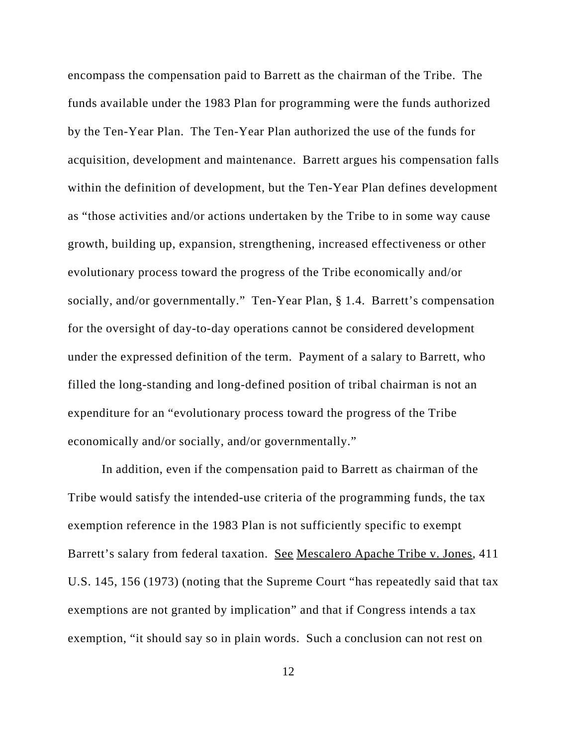encompass the compensation paid to Barrett as the chairman of the Tribe. The funds available under the 1983 Plan for programming were the funds authorized by the Ten-Year Plan. The Ten-Year Plan authorized the use of the funds for acquisition, development and maintenance. Barrett argues his compensation falls within the definition of development, but the Ten-Year Plan defines development as "those activities and/or actions undertaken by the Tribe to in some way cause growth, building up, expansion, strengthening, increased effectiveness or other evolutionary process toward the progress of the Tribe economically and/or socially, and/or governmentally." Ten-Year Plan, § 1.4. Barrett's compensation for the oversight of day-to-day operations cannot be considered development under the expressed definition of the term. Payment of a salary to Barrett, who filled the long-standing and long-defined position of tribal chairman is not an expenditure for an "evolutionary process toward the progress of the Tribe economically and/or socially, and/or governmentally."

In addition, even if the compensation paid to Barrett as chairman of the Tribe would satisfy the intended-use criteria of the programming funds, the tax exemption reference in the 1983 Plan is not sufficiently specific to exempt Barrett's salary from federal taxation. See Mescalero Apache Tribe v. Jones, 411 U.S. 145, 156 (1973) (noting that the Supreme Court "has repeatedly said that tax exemptions are not granted by implication" and that if Congress intends a tax exemption, "it should say so in plain words. Such a conclusion can not rest on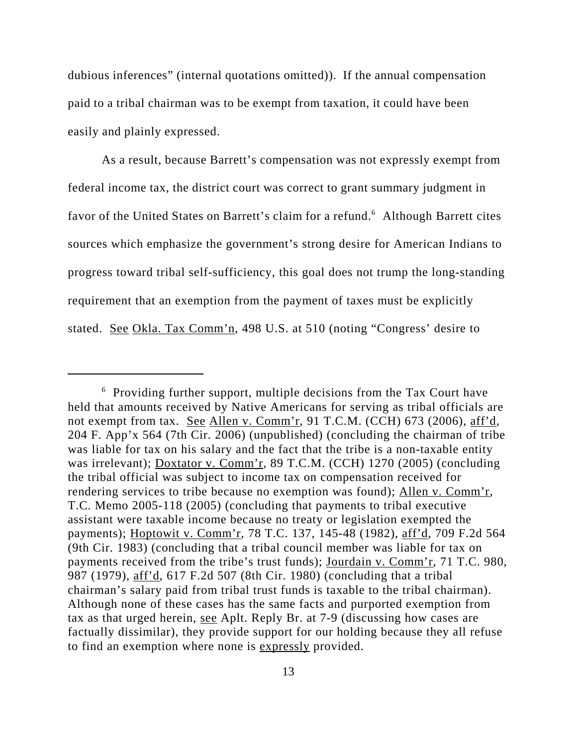dubious inferences" (internal quotations omitted)). If the annual compensation paid to a tribal chairman was to be exempt from taxation, it could have been easily and plainly expressed.

As a result, because Barrett's compensation was not expressly exempt from federal income tax, the district court was correct to grant summary judgment in favor of the United States on Barrett's claim for a refund.<sup>6</sup> Although Barrett cites sources which emphasize the government's strong desire for American Indians to progress toward tribal self-sufficiency, this goal does not trump the long-standing requirement that an exemption from the payment of taxes must be explicitly stated. <u>See Okla. Tax Comm'n</u>, 498 U.S. at 510 (noting "Congress' desire to

<sup>&</sup>lt;sup>6</sup> Providing further support, multiple decisions from the Tax Court have held that amounts received by Native Americans for serving as tribal officials are not exempt from tax. See Allen v. Comm'r, 91 T.C.M. (CCH) 673 (2006), aff'd, 204 F. App'x 564 (7th Cir. 2006) (unpublished) (concluding the chairman of tribe was liable for tax on his salary and the fact that the tribe is a non-taxable entity was irrelevant); Doxtator v. Comm'r, 89 T.C.M. (CCH) 1270 (2005) (concluding the tribal official was subject to income tax on compensation received for rendering services to tribe because no exemption was found); Allen v. Comm'r, T.C. Memo 2005-118 (2005) (concluding that payments to tribal executive assistant were taxable income because no treaty or legislation exempted the payments); Hoptowit v. Comm'r, 78 T.C. 137, 145-48 (1982), aff'd, 709 F.2d 564 (9th Cir. 1983) (concluding that a tribal council member was liable for tax on payments received from the tribe's trust funds); Jourdain v. Comm'r, 71 T.C. 980, 987 (1979), aff'd, 617 F.2d 507 (8th Cir. 1980) (concluding that a tribal chairman's salary paid from tribal trust funds is taxable to the tribal chairman). Although none of these cases has the same facts and purported exemption from tax as that urged herein, see Aplt. Reply Br. at 7-9 (discussing how cases are factually dissimilar), they provide support for our holding because they all refuse to find an exemption where none is expressly provided.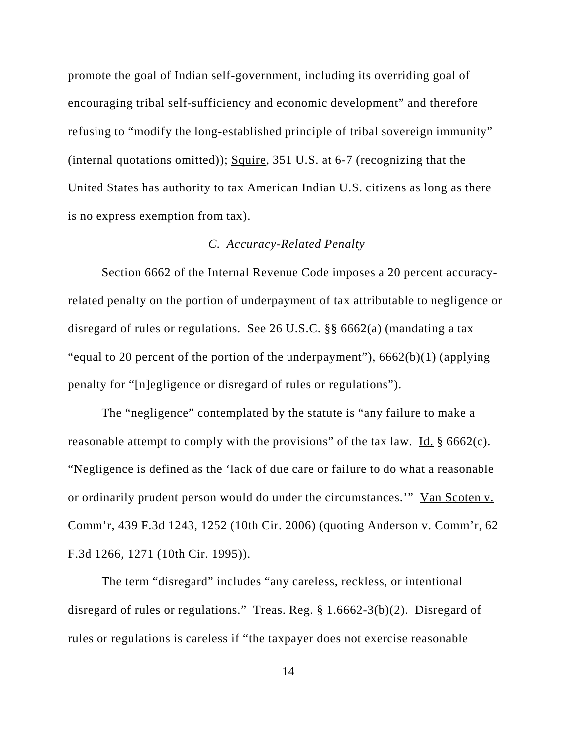promote the goal of Indian self-government, including its overriding goal of encouraging tribal self-sufficiency and economic development" and therefore refusing to "modify the long-established principle of tribal sovereign immunity" (internal quotations omitted)); Squire, 351 U.S. at 6-7 (recognizing that the United States has authority to tax American Indian U.S. citizens as long as there is no express exemption from tax).

# *C. Accuracy-Related Penalty*

Section 6662 of the Internal Revenue Code imposes a 20 percent accuracyrelated penalty on the portion of underpayment of tax attributable to negligence or disregard of rules or regulations. See 26 U.S.C. §§ 6662(a) (mandating a tax "equal to 20 percent of the portion of the underpayment"),  $6662(b)(1)$  (applying penalty for "[n]egligence or disregard of rules or regulations").

The "negligence" contemplated by the statute is "any failure to make a reasonable attempt to comply with the provisions" of the tax law. Id.  $\S$  6662(c). "Negligence is defined as the 'lack of due care or failure to do what a reasonable or ordinarily prudent person would do under the circumstances.'" Van Scoten v. Comm'r, 439 F.3d 1243, 1252 (10th Cir. 2006) (quoting Anderson v. Comm'r, 62 F.3d 1266, 1271 (10th Cir. 1995)).

The term "disregard" includes "any careless, reckless, or intentional disregard of rules or regulations." Treas. Reg. § 1.6662-3(b)(2). Disregard of rules or regulations is careless if "the taxpayer does not exercise reasonable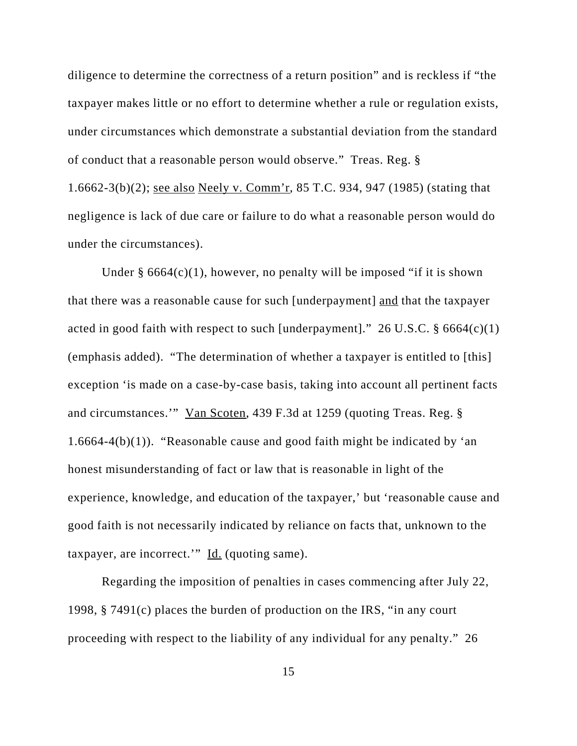diligence to determine the correctness of a return position" and is reckless if "the taxpayer makes little or no effort to determine whether a rule or regulation exists, under circumstances which demonstrate a substantial deviation from the standard of conduct that a reasonable person would observe." Treas. Reg. § 1.6662-3(b)(2); see also Neely v. Comm'r, 85 T.C. 934, 947 (1985) (stating that negligence is lack of due care or failure to do what a reasonable person would do under the circumstances).

Under  $\S$  6664(c)(1), however, no penalty will be imposed "if it is shown that there was a reasonable cause for such [underpayment] and that the taxpayer acted in good faith with respect to such [underpayment]." 26 U.S.C.  $\S 6664(c)(1)$ (emphasis added). "The determination of whether a taxpayer is entitled to [this] exception 'is made on a case-by-case basis, taking into account all pertinent facts and circumstances.'" Van Scoten, 439 F.3d at 1259 (quoting Treas. Reg. § 1.6664-4(b)(1)). "Reasonable cause and good faith might be indicated by 'an honest misunderstanding of fact or law that is reasonable in light of the experience, knowledge, and education of the taxpayer,' but 'reasonable cause and good faith is not necessarily indicated by reliance on facts that, unknown to the taxpayer, are incorrect.'"  $\underline{Id}$ . (quoting same).

Regarding the imposition of penalties in cases commencing after July 22, 1998, § 7491(c) places the burden of production on the IRS, "in any court proceeding with respect to the liability of any individual for any penalty." 26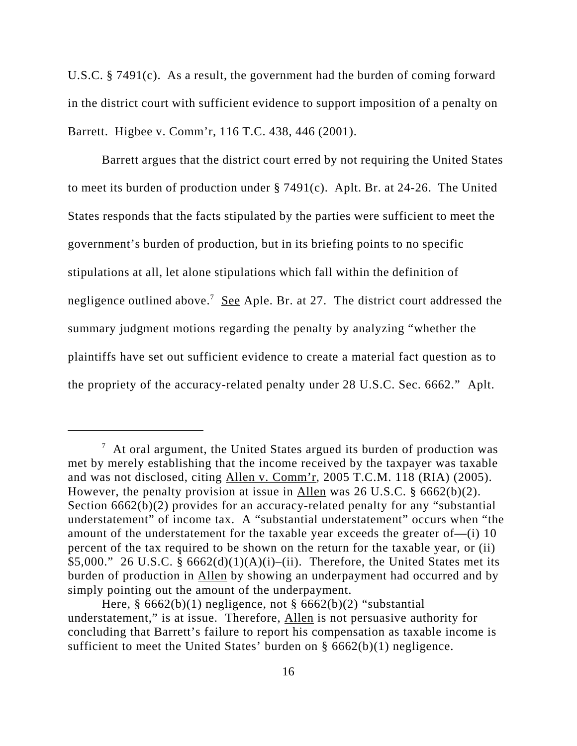U.S.C. § 7491(c). As a result, the government had the burden of coming forward in the district court with sufficient evidence to support imposition of a penalty on Barrett. Higbee v. Comm'r, 116 T.C. 438, 446 (2001).

Barrett argues that the district court erred by not requiring the United States to meet its burden of production under § 7491(c). Aplt. Br. at 24-26. The United States responds that the facts stipulated by the parties were sufficient to meet the government's burden of production, but in its briefing points to no specific stipulations at all, let alone stipulations which fall within the definition of negligence outlined above.<sup>7</sup> See Aple. Br. at 27. The district court addressed the summary judgment motions regarding the penalty by analyzing "whether the plaintiffs have set out sufficient evidence to create a material fact question as to the propriety of the accuracy-related penalty under 28 U.S.C. Sec. 6662." Aplt.

 $7$  At oral argument, the United States argued its burden of production was met by merely establishing that the income received by the taxpayer was taxable and was not disclosed, citing Allen v. Comm'r, 2005 T.C.M. 118 (RIA) (2005). However, the penalty provision at issue in Allen was 26 U.S.C. § 6662(b)(2). Section 6662(b)(2) provides for an accuracy-related penalty for any "substantial understatement" of income tax. A "substantial understatement" occurs when "the amount of the understatement for the taxable year exceeds the greater of—(i) 10 percent of the tax required to be shown on the return for the taxable year, or (ii) \$5,000." 26 U.S.C. §  $6662(d)(1)(A)(i)$ –(ii). Therefore, the United States met its burden of production in Allen by showing an underpayment had occurred and by simply pointing out the amount of the underpayment.

Here,  $\S 6662(b)(1)$  negligence, not  $\S 6662(b)(2)$  "substantial understatement," is at issue. Therefore, Allen is not persuasive authority for concluding that Barrett's failure to report his compensation as taxable income is sufficient to meet the United States' burden on § 6662(b)(1) negligence.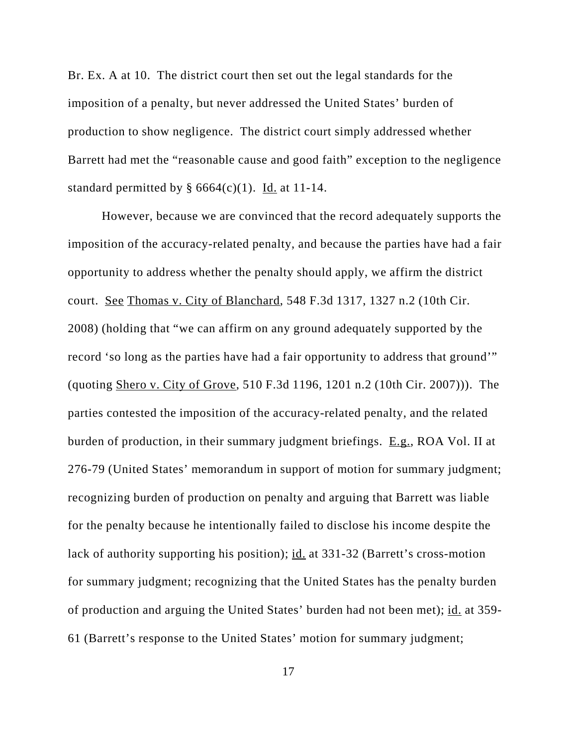Br. Ex. A at 10. The district court then set out the legal standards for the imposition of a penalty, but never addressed the United States' burden of production to show negligence. The district court simply addressed whether Barrett had met the "reasonable cause and good faith" exception to the negligence standard permitted by  $\S$  6664(c)(1). Id. at 11-14.

However, because we are convinced that the record adequately supports the imposition of the accuracy-related penalty, and because the parties have had a fair opportunity to address whether the penalty should apply, we affirm the district court. See Thomas v. City of Blanchard, 548 F.3d 1317, 1327 n.2 (10th Cir. 2008) (holding that "we can affirm on any ground adequately supported by the record 'so long as the parties have had a fair opportunity to address that ground'" (quoting Shero v. City of Grove, 510 F.3d 1196, 1201 n.2 (10th Cir. 2007))). The parties contested the imposition of the accuracy-related penalty, and the related burden of production, in their summary judgment briefings. E.g., ROA Vol. II at 276-79 (United States' memorandum in support of motion for summary judgment; recognizing burden of production on penalty and arguing that Barrett was liable for the penalty because he intentionally failed to disclose his income despite the lack of authority supporting his position); id. at 331-32 (Barrett's cross-motion for summary judgment; recognizing that the United States has the penalty burden of production and arguing the United States' burden had not been met); id. at 359- 61 (Barrett's response to the United States' motion for summary judgment;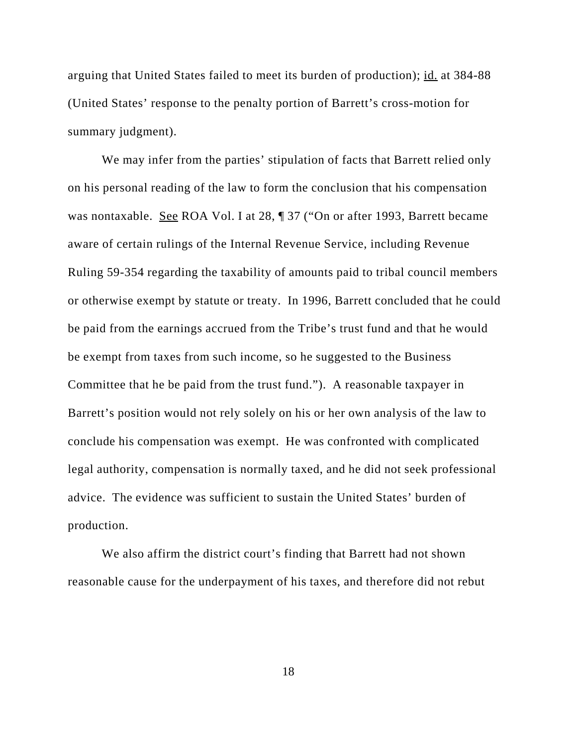arguing that United States failed to meet its burden of production); id. at 384-88 (United States' response to the penalty portion of Barrett's cross-motion for summary judgment).

We may infer from the parties' stipulation of facts that Barrett relied only on his personal reading of the law to form the conclusion that his compensation was nontaxable. See ROA Vol. I at 28,  $\parallel$  37 ("On or after 1993, Barrett became aware of certain rulings of the Internal Revenue Service, including Revenue Ruling 59-354 regarding the taxability of amounts paid to tribal council members or otherwise exempt by statute or treaty. In 1996, Barrett concluded that he could be paid from the earnings accrued from the Tribe's trust fund and that he would be exempt from taxes from such income, so he suggested to the Business Committee that he be paid from the trust fund."). A reasonable taxpayer in Barrett's position would not rely solely on his or her own analysis of the law to conclude his compensation was exempt. He was confronted with complicated legal authority, compensation is normally taxed, and he did not seek professional advice. The evidence was sufficient to sustain the United States' burden of production.

We also affirm the district court's finding that Barrett had not shown reasonable cause for the underpayment of his taxes, and therefore did not rebut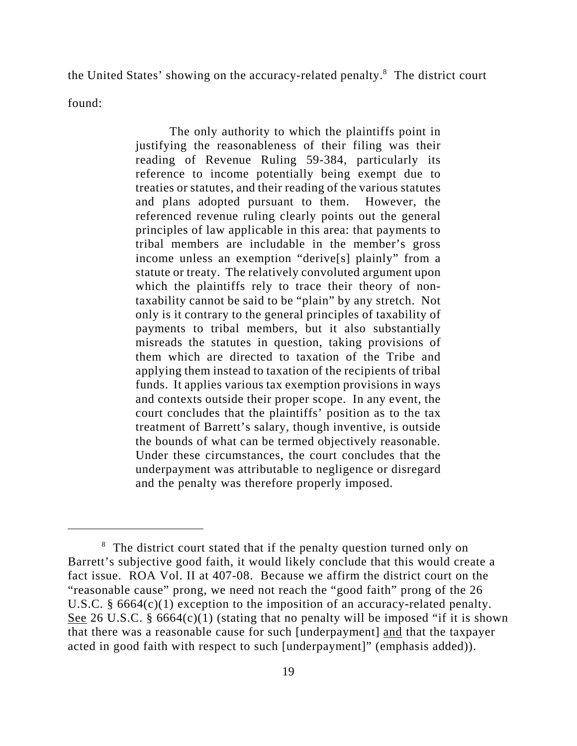the United States' showing on the accuracy-related penalty.<sup>8</sup> The district court

found:

The only authority to which the plaintiffs point in justifying the reasonableness of their filing was their reading of Revenue Ruling 59-384, particularly its reference to income potentially being exempt due to treaties or statutes, and their reading of the various statutes and plans adopted pursuant to them. However, the referenced revenue ruling clearly points out the general principles of law applicable in this area: that payments to tribal members are includable in the member's gross income unless an exemption "derive[s] plainly" from a statute or treaty. The relatively convoluted argument upon which the plaintiffs rely to trace their theory of nontaxability cannot be said to be "plain" by any stretch. Not only is it contrary to the general principles of taxability of payments to tribal members, but it also substantially misreads the statutes in question, taking provisions of them which are directed to taxation of the Tribe and applying them instead to taxation of the recipients of tribal funds. It applies various tax exemption provisions in ways and contexts outside their proper scope. In any event, the court concludes that the plaintiffs' position as to the tax treatment of Barrett's salary, though inventive, is outside the bounds of what can be termed objectively reasonable. Under these circumstances, the court concludes that the underpayment was attributable to negligence or disregard and the penalty was therefore properly imposed.

<sup>&</sup>lt;sup>8</sup> The district court stated that if the penalty question turned only on Barrett's subjective good faith, it would likely conclude that this would create a fact issue. ROA Vol. II at 407-08. Because we affirm the district court on the "reasonable cause" prong, we need not reach the "good faith" prong of the 26 U.S.C. § 6664(c)(1) exception to the imposition of an accuracy-related penalty. See 26 U.S.C. §  $6664(c)(1)$  (stating that no penalty will be imposed "if it is shown that there was a reasonable cause for such [underpayment] and that the taxpayer acted in good faith with respect to such [underpayment]" (emphasis added)).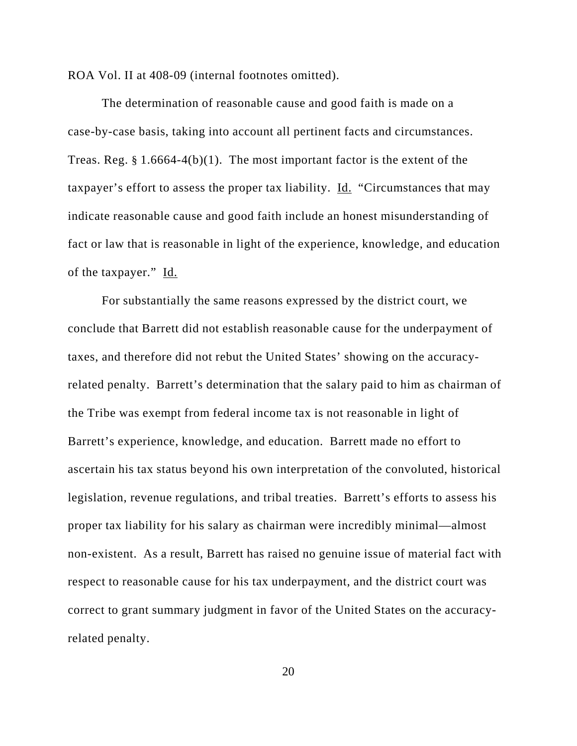ROA Vol. II at 408-09 (internal footnotes omitted).

The determination of reasonable cause and good faith is made on a case-by-case basis, taking into account all pertinent facts and circumstances. Treas. Reg.  $\S 1.6664-4(b)(1)$ . The most important factor is the extent of the taxpayer's effort to assess the proper tax liability. Id. "Circumstances that may indicate reasonable cause and good faith include an honest misunderstanding of fact or law that is reasonable in light of the experience, knowledge, and education of the taxpayer." Id.

For substantially the same reasons expressed by the district court, we conclude that Barrett did not establish reasonable cause for the underpayment of taxes, and therefore did not rebut the United States' showing on the accuracyrelated penalty. Barrett's determination that the salary paid to him as chairman of the Tribe was exempt from federal income tax is not reasonable in light of Barrett's experience, knowledge, and education. Barrett made no effort to ascertain his tax status beyond his own interpretation of the convoluted, historical legislation, revenue regulations, and tribal treaties. Barrett's efforts to assess his proper tax liability for his salary as chairman were incredibly minimal—almost non-existent. As a result, Barrett has raised no genuine issue of material fact with respect to reasonable cause for his tax underpayment, and the district court was correct to grant summary judgment in favor of the United States on the accuracyrelated penalty.